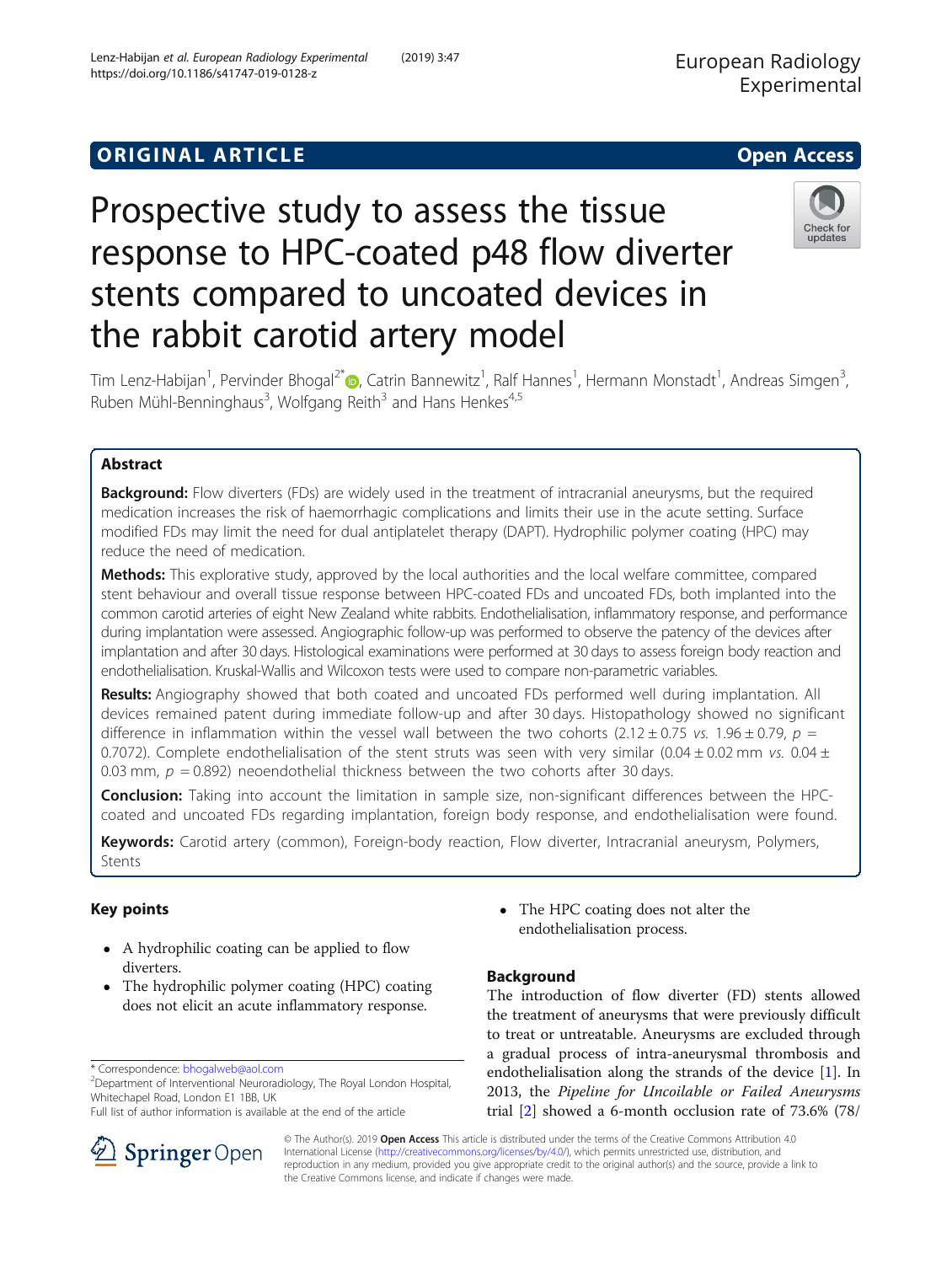# **ORIGINAL ARTICLE CONSERVANCE IN A LOCAL CONSERVANCE IN A LOCAL CONSERVANCE IN A LOCAL CONSERVANCE IN A LOCAL CONS**

# Prospective study to assess the tissue response to HPC-coated p48 flow diverter stents compared to uncoated devices in the rabbit carotid artery model



Tim Lenz-Habijan<sup>1</sup>[,](http://orcid.org/0000-0002-5514-5237) Pervinder Bhogal<sup>2\*</sup>@, Catrin Bannewitz<sup>1</sup>, Ralf Hannes<sup>1</sup>, Hermann Monstadt<sup>1</sup>, Andreas Simgen<sup>3</sup> , Ruben Mühl-Benninghaus<sup>3</sup>, Wolfgang Reith<sup>3</sup> and Hans Henkes<sup>4,5</sup>

# Abstract

**Background:** Flow diverters (FDs) are widely used in the treatment of intracranial aneurysms, but the required medication increases the risk of haemorrhagic complications and limits their use in the acute setting. Surface modified FDs may limit the need for dual antiplatelet therapy (DAPT). Hydrophilic polymer coating (HPC) may reduce the need of medication.

Methods: This explorative study, approved by the local authorities and the local welfare committee, compared stent behaviour and overall tissue response between HPC-coated FDs and uncoated FDs, both implanted into the common carotid arteries of eight New Zealand white rabbits. Endothelialisation, inflammatory response, and performance during implantation were assessed. Angiographic follow-up was performed to observe the patency of the devices after implantation and after 30 days. Histological examinations were performed at 30 days to assess foreign body reaction and endothelialisation. Kruskal-Wallis and Wilcoxon tests were used to compare non-parametric variables.

Results: Angiography showed that both coated and uncoated FDs performed well during implantation. All devices remained patent during immediate follow-up and after 30 days. Histopathology showed no significant difference in inflammation within the vessel wall between the two cohorts (2.12 ± 0.75 vs. 1.96 ± 0.79,  $p =$ 0.7072). Complete endothelialisation of the stent struts was seen with very similar (0.04 ± 0.02 mm vs. 0.04 ± 0.03 mm,  $p = 0.892$ ) neoendothelial thickness between the two cohorts after 30 days.

**Conclusion:** Taking into account the limitation in sample size, non-significant differences between the HPCcoated and uncoated FDs regarding implantation, foreign body response, and endothelialisation were found.

Keywords: Carotid artery (common), Foreign-body reaction, Flow diverter, Intracranial aneurysm, Polymers, Stents

# Key points

- A hydrophilic coating can be applied to flow diverters.
- The hydrophilic polymer coating (HPC) coating does not elicit an acute inflammatory response.

Department of Interventional Neuroradiology, The Royal London Hospital, Whitechapel Road, London E1 1BB, UK

Full list of author information is available at the end of the article



# Background

The introduction of flow diverter (FD) stents allowed the treatment of aneurysms that were previously difficult to treat or untreatable. Aneurysms are excluded through a gradual process of intra-aneurysmal thrombosis and endothelialisation along the strands of the device [\[1\]](#page-7-0). In 2013, the Pipeline for Uncoilable or Failed Aneurysms trial [[2\]](#page-7-0) showed a 6-month occlusion rate of 73.6% (78/



© The Author(s). 2019 Open Access This article is distributed under the terms of the Creative Commons Attribution 4.0 International License ([http://creativecommons.org/licenses/by/4.0/\)](http://creativecommons.org/licenses/by/4.0/), which permits unrestricted use, distribution, and reproduction in any medium, provided you give appropriate credit to the original author(s) and the source, provide a link to the Creative Commons license, and indicate if changes were made.

<sup>\*</sup> Correspondence: [bhogalweb@aol.com](mailto:bhogalweb@aol.com) <sup>2</sup>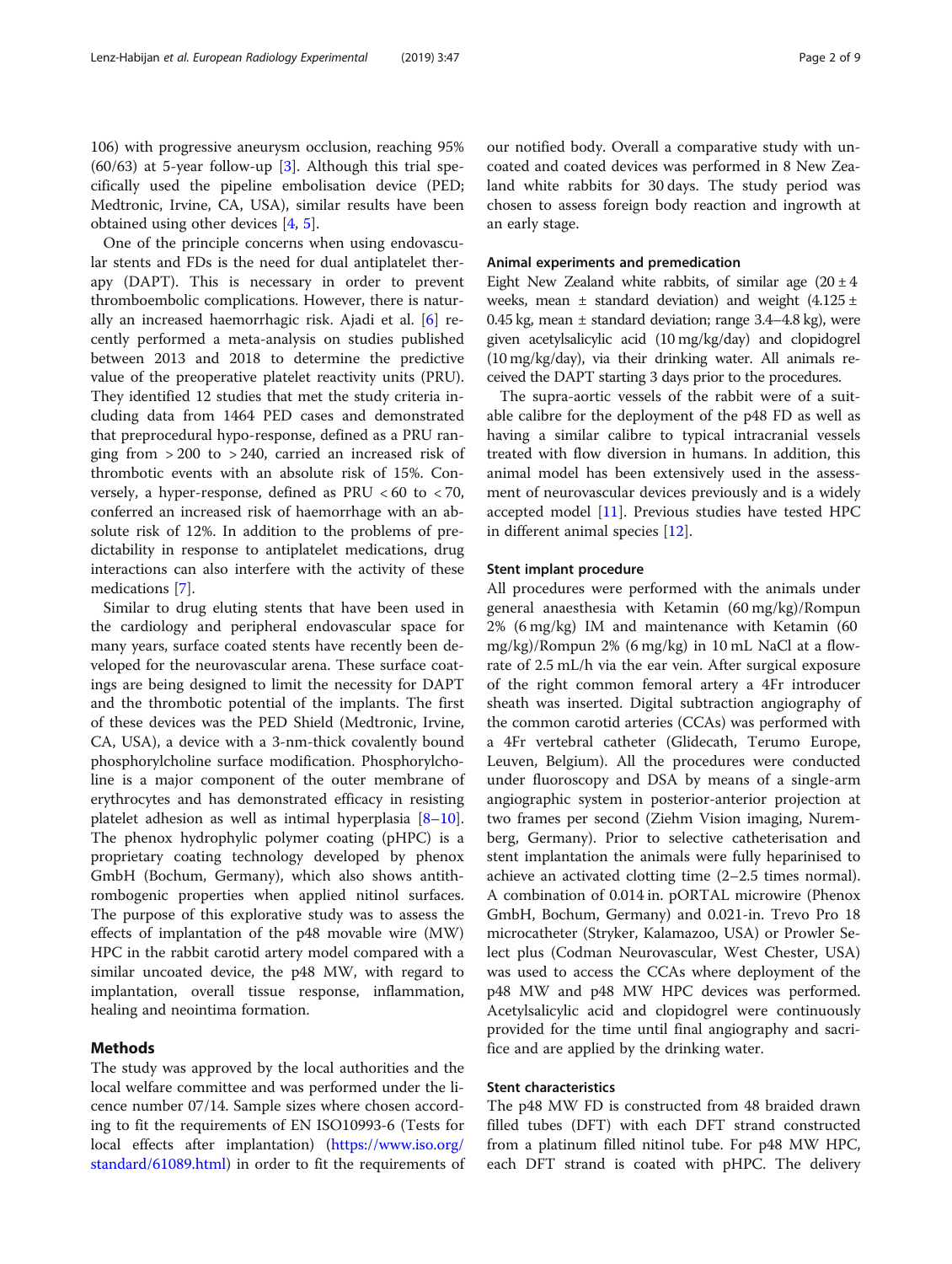106) with progressive aneurysm occlusion, reaching 95%  $(60/63)$  $(60/63)$  $(60/63)$  at 5-year follow-up [3]. Although this trial specifically used the pipeline embolisation device (PED; Medtronic, Irvine, CA, USA), similar results have been obtained using other devices [[4,](#page-7-0) [5\]](#page-7-0).

One of the principle concerns when using endovascular stents and FDs is the need for dual antiplatelet therapy (DAPT). This is necessary in order to prevent thromboembolic complications. However, there is naturally an increased haemorrhagic risk. Ajadi et al. [[6\]](#page-7-0) recently performed a meta-analysis on studies published between 2013 and 2018 to determine the predictive value of the preoperative platelet reactivity units (PRU). They identified 12 studies that met the study criteria including data from 1464 PED cases and demonstrated that preprocedural hypo-response, defined as a PRU ranging from  $>200$  to  $>240$ , carried an increased risk of thrombotic events with an absolute risk of 15%. Conversely, a hyper-response, defined as PRU  $<60$  to  $<70$ , conferred an increased risk of haemorrhage with an absolute risk of 12%. In addition to the problems of predictability in response to antiplatelet medications, drug interactions can also interfere with the activity of these medications [[7\]](#page-7-0).

Similar to drug eluting stents that have been used in the cardiology and peripheral endovascular space for many years, surface coated stents have recently been developed for the neurovascular arena. These surface coatings are being designed to limit the necessity for DAPT and the thrombotic potential of the implants. The first of these devices was the PED Shield (Medtronic, Irvine, CA, USA), a device with a 3-nm-thick covalently bound phosphorylcholine surface modification. Phosphorylcholine is a major component of the outer membrane of erythrocytes and has demonstrated efficacy in resisting platelet adhesion as well as intimal hyperplasia [[8](#page-7-0)–[10](#page-7-0)]. The phenox hydrophylic polymer coating (pHPC) is a proprietary coating technology developed by phenox GmbH (Bochum, Germany), which also shows antithrombogenic properties when applied nitinol surfaces. The purpose of this explorative study was to assess the effects of implantation of the p48 movable wire (MW) HPC in the rabbit carotid artery model compared with a similar uncoated device, the p48 MW, with regard to implantation, overall tissue response, inflammation, healing and neointima formation.

# Methods

The study was approved by the local authorities and the local welfare committee and was performed under the licence number 07/14. Sample sizes where chosen according to fit the requirements of EN ISO10993-6 (Tests for local effects after implantation) [\(https://www.iso.org/](https://www.iso.org/standard/61089.html) [standard/61089.html](https://www.iso.org/standard/61089.html)) in order to fit the requirements of our notified body. Overall a comparative study with uncoated and coated devices was performed in 8 New Zealand white rabbits for 30 days. The study period was chosen to assess foreign body reaction and ingrowth at an early stage.

# Animal experiments and premedication

Eight New Zealand white rabbits, of similar age  $(20 \pm 4)$ weeks, mean  $\pm$  standard deviation) and weight (4.125  $\pm$ 0.45 kg, mean  $\pm$  standard deviation; range 3.4–4.8 kg), were given acetylsalicylic acid (10 mg/kg/day) and clopidogrel (10 mg/kg/day), via their drinking water. All animals received the DAPT starting 3 days prior to the procedures.

The supra-aortic vessels of the rabbit were of a suitable calibre for the deployment of the p48 FD as well as having a similar calibre to typical intracranial vessels treated with flow diversion in humans. In addition, this animal model has been extensively used in the assessment of neurovascular devices previously and is a widely accepted model [\[11](#page-7-0)]. Previous studies have tested HPC in different animal species [\[12](#page-7-0)].

### Stent implant procedure

All procedures were performed with the animals under general anaesthesia with Ketamin (60 mg/kg)/Rompun 2% (6 mg/kg) IM and maintenance with Ketamin (60 mg/kg)/Rompun 2% (6 mg/kg) in 10 mL NaCl at a flowrate of 2.5 mL/h via the ear vein. After surgical exposure of the right common femoral artery a 4Fr introducer sheath was inserted. Digital subtraction angiography of the common carotid arteries (CCAs) was performed with a 4Fr vertebral catheter (Glidecath, Terumo Europe, Leuven, Belgium). All the procedures were conducted under fluoroscopy and DSA by means of a single-arm angiographic system in posterior-anterior projection at two frames per second (Ziehm Vision imaging, Nuremberg, Germany). Prior to selective catheterisation and stent implantation the animals were fully heparinised to achieve an activated clotting time (2–2.5 times normal). A combination of 0.014 in. pORTAL microwire (Phenox GmbH, Bochum, Germany) and 0.021-in. Trevo Pro 18 microcatheter (Stryker, Kalamazoo, USA) or Prowler Select plus (Codman Neurovascular, West Chester, USA) was used to access the CCAs where deployment of the p48 MW and p48 MW HPC devices was performed. Acetylsalicylic acid and clopidogrel were continuously provided for the time until final angiography and sacrifice and are applied by the drinking water.

# Stent characteristics

The p48 MW FD is constructed from 48 braided drawn filled tubes (DFT) with each DFT strand constructed from a platinum filled nitinol tube. For p48 MW HPC, each DFT strand is coated with pHPC. The delivery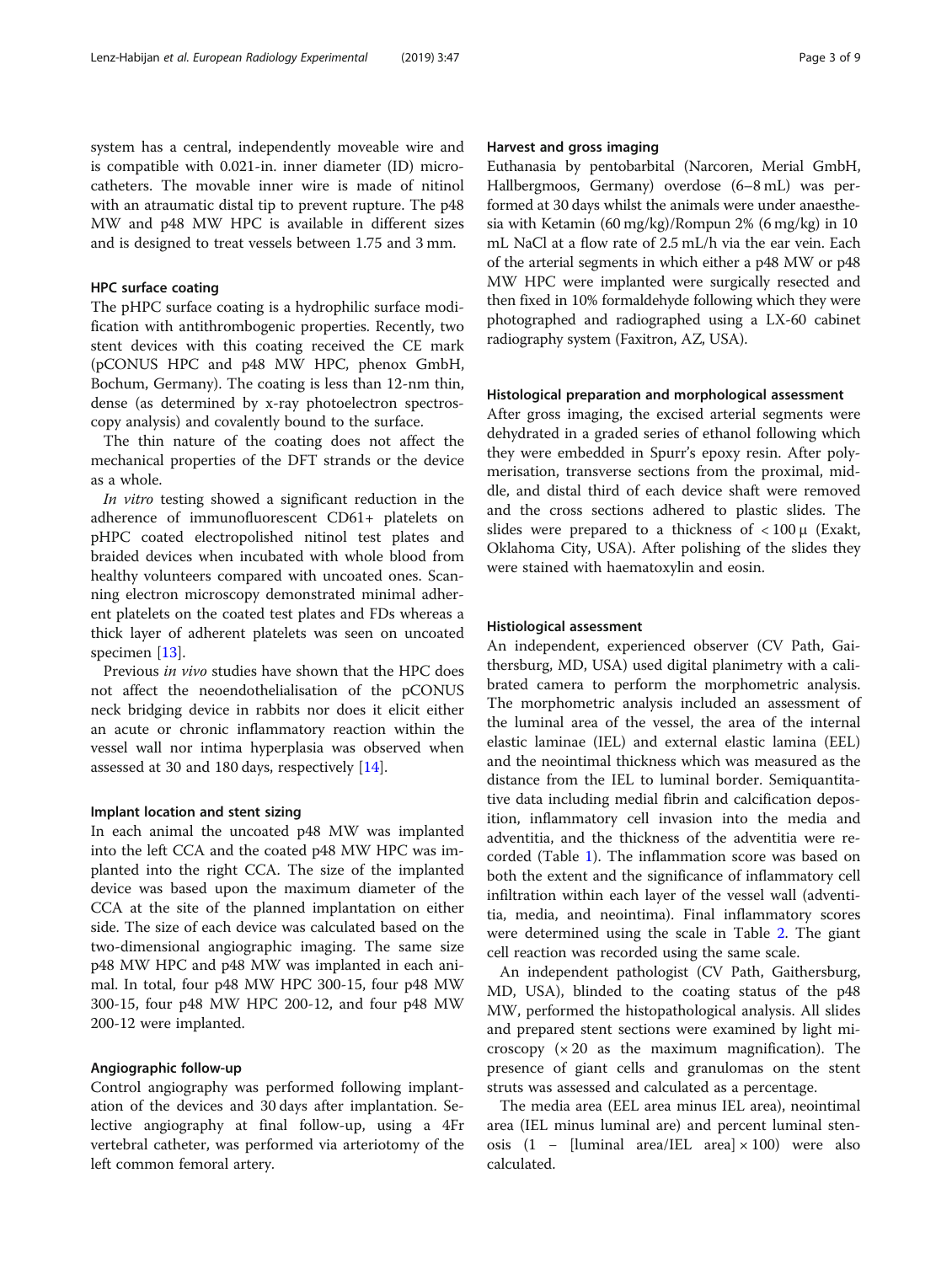system has a central, independently moveable wire and is compatible with 0.021-in. inner diameter (ID) microcatheters. The movable inner wire is made of nitinol with an atraumatic distal tip to prevent rupture. The p48 MW and p48 MW HPC is available in different sizes and is designed to treat vessels between 1.75 and 3 mm.

# HPC surface coating

The pHPC surface coating is a hydrophilic surface modification with antithrombogenic properties. Recently, two stent devices with this coating received the CE mark (pCONUS HPC and p48 MW HPC, phenox GmbH, Bochum, Germany). The coating is less than 12-nm thin, dense (as determined by x-ray photoelectron spectroscopy analysis) and covalently bound to the surface.

The thin nature of the coating does not affect the mechanical properties of the DFT strands or the device as a whole.

In vitro testing showed a significant reduction in the adherence of immunofluorescent CD61+ platelets on pHPC coated electropolished nitinol test plates and braided devices when incubated with whole blood from healthy volunteers compared with uncoated ones. Scanning electron microscopy demonstrated minimal adherent platelets on the coated test plates and FDs whereas a thick layer of adherent platelets was seen on uncoated specimen [\[13\]](#page-7-0).

Previous in vivo studies have shown that the HPC does not affect the neoendothelialisation of the pCONUS neck bridging device in rabbits nor does it elicit either an acute or chronic inflammatory reaction within the vessel wall nor intima hyperplasia was observed when assessed at 30 and 180 days, respectively [[14](#page-7-0)].

#### Implant location and stent sizing

In each animal the uncoated p48 MW was implanted into the left CCA and the coated p48 MW HPC was implanted into the right CCA. The size of the implanted device was based upon the maximum diameter of the CCA at the site of the planned implantation on either side. The size of each device was calculated based on the two-dimensional angiographic imaging. The same size p48 MW HPC and p48 MW was implanted in each animal. In total, four p48 MW HPC 300-15, four p48 MW 300-15, four p48 MW HPC 200-12, and four p48 MW 200-12 were implanted.

#### Angiographic follow-up

Control angiography was performed following implantation of the devices and 30 days after implantation. Selective angiography at final follow-up, using a 4Fr vertebral catheter, was performed via arteriotomy of the left common femoral artery.

# Harvest and gross imaging

Euthanasia by pentobarbital (Narcoren, Merial GmbH, Hallbergmoos, Germany) overdose (6–8 mL) was performed at 30 days whilst the animals were under anaesthesia with Ketamin (60 mg/kg)/Rompun 2% (6 mg/kg) in 10 mL NaCl at a flow rate of 2.5 mL/h via the ear vein. Each of the arterial segments in which either a p48 MW or p48 MW HPC were implanted were surgically resected and then fixed in 10% formaldehyde following which they were photographed and radiographed using a LX-60 cabinet radiography system (Faxitron, AZ, USA).

# Histological preparation and morphological assessment

After gross imaging, the excised arterial segments were dehydrated in a graded series of ethanol following which they were embedded in Spurr's epoxy resin. After polymerisation, transverse sections from the proximal, middle, and distal third of each device shaft were removed and the cross sections adhered to plastic slides. The slides were prepared to a thickness of  $< 100 \mu$  (Exakt, Oklahoma City, USA). After polishing of the slides they were stained with haematoxylin and eosin.

#### Histiological assessment

An independent, experienced observer (CV Path, Gaithersburg, MD, USA) used digital planimetry with a calibrated camera to perform the morphometric analysis. The morphometric analysis included an assessment of the luminal area of the vessel, the area of the internal elastic laminae (IEL) and external elastic lamina (EEL) and the neointimal thickness which was measured as the distance from the IEL to luminal border. Semiquantitative data including medial fibrin and calcification deposition, inflammatory cell invasion into the media and adventitia, and the thickness of the adventitia were recorded (Table [1\)](#page-3-0). The inflammation score was based on both the extent and the significance of inflammatory cell infiltration within each layer of the vessel wall (adventitia, media, and neointima). Final inflammatory scores were determined using the scale in Table [2](#page-4-0). The giant cell reaction was recorded using the same scale.

An independent pathologist (CV Path, Gaithersburg, MD, USA), blinded to the coating status of the p48 MW, performed the histopathological analysis. All slides and prepared stent sections were examined by light microscopy  $(x 20)$  as the maximum magnification). The presence of giant cells and granulomas on the stent struts was assessed and calculated as a percentage.

The media area (EEL area minus IEL area), neointimal area (IEL minus luminal are) and percent luminal stenosis (1 – [luminal area/IEL area]  $\times$  100) were also calculated.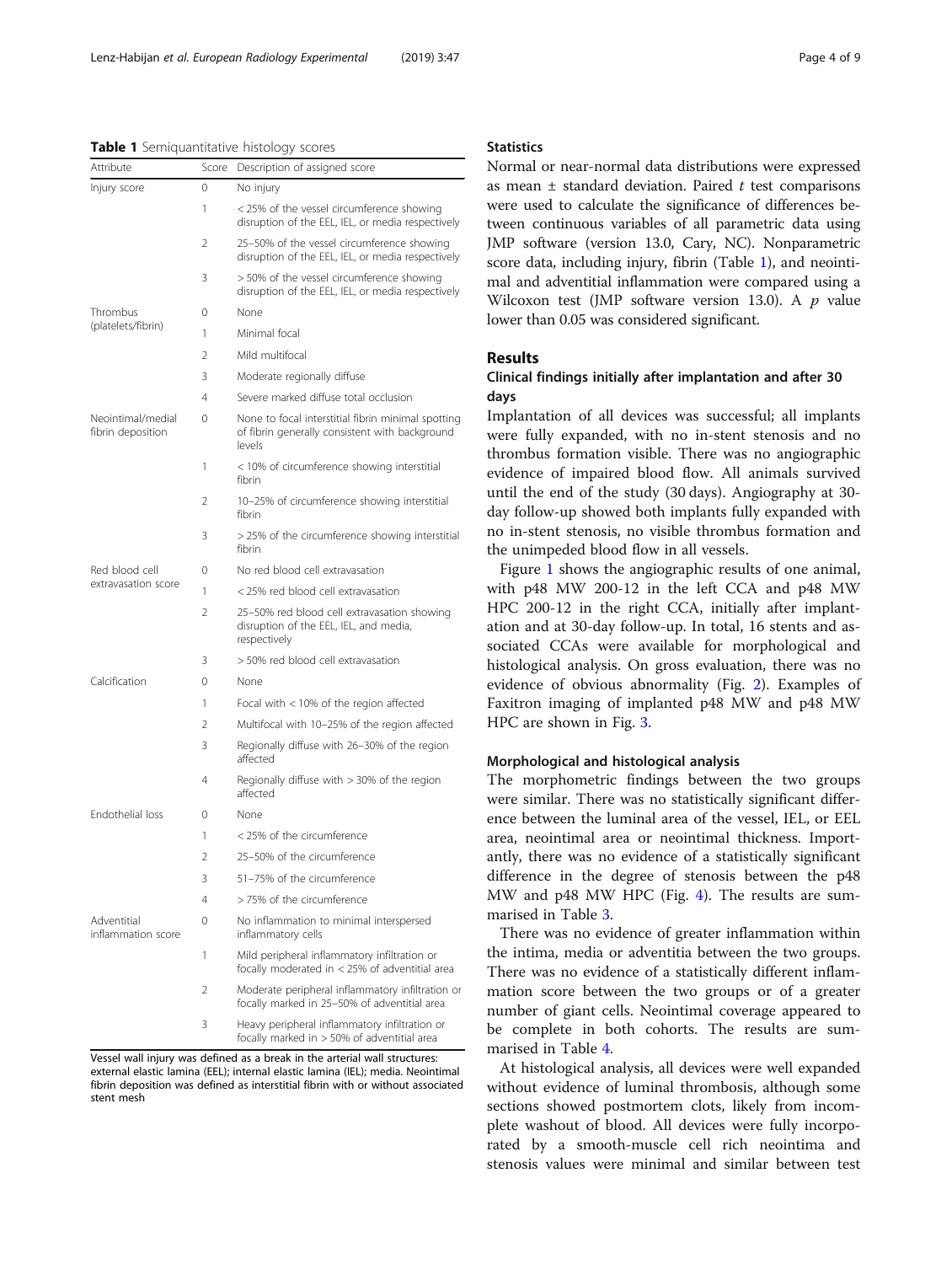#### <span id="page-3-0"></span>Table 1 Semiquantitative histology scores

| Attribute                              | Score          | Description of assigned score                                                                                  |  |  |  |  |
|----------------------------------------|----------------|----------------------------------------------------------------------------------------------------------------|--|--|--|--|
| Injury score                           | 0              | No injury                                                                                                      |  |  |  |  |
|                                        | 1              | < 25% of the vessel circumference showing<br>disruption of the EEL, IEL, or media respectively                 |  |  |  |  |
|                                        | 2              | 25-50% of the vessel circumference showing<br>disruption of the EEL, IEL, or media respectively                |  |  |  |  |
|                                        | 3              | > 50% of the vessel circumference showing<br>disruption of the EEL, IEL, or media respectively                 |  |  |  |  |
| Thrombus                               | 0              | None                                                                                                           |  |  |  |  |
| (platelets/fibrin)                     | 1              | Minimal focal                                                                                                  |  |  |  |  |
|                                        | 2              | Mild multifocal                                                                                                |  |  |  |  |
|                                        | 3              | Moderate regionally diffuse                                                                                    |  |  |  |  |
|                                        | 4              | Severe marked diffuse total occlusion                                                                          |  |  |  |  |
| Neointimal/medial<br>fibrin deposition | 0              | None to focal interstitial fibrin minimal spotting<br>of fibrin generally consistent with background<br>levels |  |  |  |  |
|                                        | 1              | < 10% of circumference showing interstitial<br>fibrin                                                          |  |  |  |  |
|                                        | $\mathfrak{D}$ | 10-25% of circumference showing interstitial<br>fibrin                                                         |  |  |  |  |
|                                        | 3              | > 25% of the circumference showing interstitial<br>fibrin                                                      |  |  |  |  |
| Red blood cell                         | 0              | No red blood cell extravasation                                                                                |  |  |  |  |
| extravasation score                    | 1              | < 25% red blood cell extravasation                                                                             |  |  |  |  |
|                                        | 2              | 25-50% red blood cell extravasation showing<br>disruption of the EEL, IEL, and media,<br>respectively          |  |  |  |  |
|                                        | 3              | > 50% red blood cell extravasation                                                                             |  |  |  |  |
| Calcification                          | 0              | None                                                                                                           |  |  |  |  |
|                                        | 1              | Focal with $<$ 10% of the region affected                                                                      |  |  |  |  |
|                                        | 2              | Multifocal with 10-25% of the region affected                                                                  |  |  |  |  |
|                                        | 3              | Regionally diffuse with 26-30% of the region<br>affected                                                       |  |  |  |  |
|                                        | 4              | Regionally diffuse with > 30% of the region<br>affected                                                        |  |  |  |  |
| <b>Endothelial loss</b>                | 0              | None                                                                                                           |  |  |  |  |
|                                        | 1              | < 25% of the circumference                                                                                     |  |  |  |  |
|                                        | 2              | 25-50% of the circumference                                                                                    |  |  |  |  |
|                                        | 3              | 51-75% of the circumference                                                                                    |  |  |  |  |
|                                        | 4              | > 75% of the circumference                                                                                     |  |  |  |  |
| Adventitial<br>inflammation score      | 0              | No inflammation to minimal interspersed<br>inflammatory cells                                                  |  |  |  |  |
|                                        | 1              | Mild peripheral inflammatory infiltration or<br>focally moderated in < 25% of adventitial area                 |  |  |  |  |
|                                        | 2              | Moderate peripheral inflammatory infiltration or<br>focally marked in 25-50% of adventitial area               |  |  |  |  |
|                                        | 3              | Heavy peripheral inflammatory infiltration or<br>focally marked in > 50% of adventitial area                   |  |  |  |  |

Vessel wall injury was defined as a break in the arterial wall structures: external elastic lamina (EEL); internal elastic lamina (IEL); media. Neointimal fibrin deposition was defined as interstitial fibrin with or without associated stent mesh

# **Statistics**

Normal or near-normal data distributions were expressed as mean  $\pm$  standard deviation. Paired t test comparisons were used to calculate the significance of differences between continuous variables of all parametric data using JMP software (version 13.0, Cary, NC). Nonparametric score data, including injury, fibrin (Table 1), and neointimal and adventitial inflammation were compared using a Wilcoxon test (JMP software version 13.0). A  $p$  value lower than 0.05 was considered significant.

# Results

# Clinical findings initially after implantation and after 30 days

Implantation of all devices was successful; all implants were fully expanded, with no in-stent stenosis and no thrombus formation visible. There was no angiographic evidence of impaired blood flow. All animals survived until the end of the study (30 days). Angiography at 30 day follow-up showed both implants fully expanded with no in-stent stenosis, no visible thrombus formation and the unimpeded blood flow in all vessels.

Figure [1](#page-4-0) shows the angiographic results of one animal, with p48 MW 200-12 in the left CCA and p48 MW HPC 200-12 in the right CCA, initially after implantation and at 30-day follow-up. In total, 16 stents and associated CCAs were available for morphological and histological analysis. On gross evaluation, there was no evidence of obvious abnormality (Fig. [2](#page-5-0)). Examples of Faxitron imaging of implanted p48 MW and p48 MW HPC are shown in Fig. [3.](#page-5-0)

# Morphological and histological analysis

The morphometric findings between the two groups were similar. There was no statistically significant difference between the luminal area of the vessel, IEL, or EEL area, neointimal area or neointimal thickness. Importantly, there was no evidence of a statistically significant difference in the degree of stenosis between the p48 MW and p48 MW HPC (Fig. [4](#page-6-0)). The results are summarised in Table [3.](#page-6-0)

There was no evidence of greater inflammation within the intima, media or adventitia between the two groups. There was no evidence of a statistically different inflammation score between the two groups or of a greater number of giant cells. Neointimal coverage appeared to be complete in both cohorts. The results are summarised in Table [4.](#page-7-0)

At histological analysis, all devices were well expanded without evidence of luminal thrombosis, although some sections showed postmortem clots, likely from incomplete washout of blood. All devices were fully incorporated by a smooth-muscle cell rich neointima and stenosis values were minimal and similar between test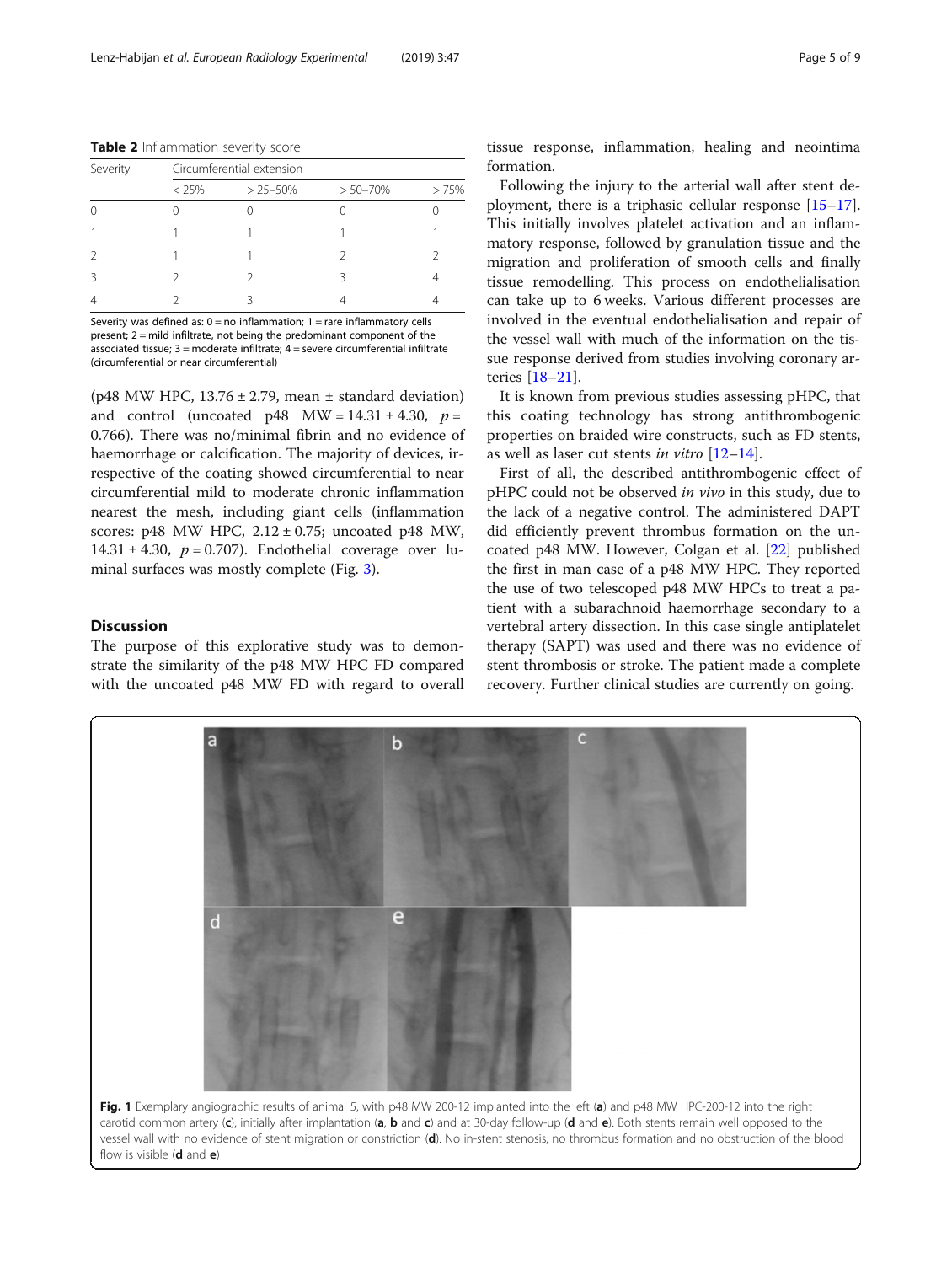<span id="page-4-0"></span>Table 2 Inflammation severity score

| Severity      | Circumferential extension |              |              |      |  |  |
|---------------|---------------------------|--------------|--------------|------|--|--|
|               | $< 25\%$                  | $> 25 - 50%$ | $> 50 - 70%$ | >75% |  |  |
| 0             |                           |              |              |      |  |  |
|               |                           |              |              |      |  |  |
| $\mathcal{L}$ |                           |              |              |      |  |  |
| 3             |                           |              |              |      |  |  |
| 4             |                           | ς            |              |      |  |  |

Severity was defined as:  $0 = no$  inflammation:  $1 = rare$  inflammatory cells present; 2 = mild infiltrate, not being the predominant component of the associated tissue;  $3$  = moderate infiltrate;  $4$  = severe circumferential infiltrate (circumferential or near circumferential)

(p48 MW HPC,  $13.76 \pm 2.79$ , mean  $\pm$  standard deviation) and control (uncoated p48 MW =  $14.31 \pm 4.30$ ,  $p =$ 0.766). There was no/minimal fibrin and no evidence of haemorrhage or calcification. The majority of devices, irrespective of the coating showed circumferential to near circumferential mild to moderate chronic inflammation nearest the mesh, including giant cells (inflammation scores:  $p48$  MW HPC,  $2.12 \pm 0.75$ ; uncoated  $p48$  MW, 14.31  $\pm$  4.30,  $p = 0.707$ ). Endothelial coverage over luminal surfaces was mostly complete (Fig. [3](#page-5-0)).

# **Discussion**

The purpose of this explorative study was to demonstrate the similarity of the p48 MW HPC FD compared with the uncoated p48 MW FD with regard to overall

tissue response, inflammation, healing and neointima formation.

Following the injury to the arterial wall after stent deployment, there is a triphasic cellular response [[15](#page-7-0)–[17](#page-8-0)]. This initially involves platelet activation and an inflammatory response, followed by granulation tissue and the migration and proliferation of smooth cells and finally tissue remodelling. This process on endothelialisation can take up to 6 weeks. Various different processes are involved in the eventual endothelialisation and repair of the vessel wall with much of the information on the tissue response derived from studies involving coronary arteries [[18](#page-8-0)–[21](#page-8-0)].

It is known from previous studies assessing pHPC, that this coating technology has strong antithrombogenic properties on braided wire constructs, such as FD stents, as well as laser cut stents in vitro  $[12-14]$  $[12-14]$  $[12-14]$ .

First of all, the described antithrombogenic effect of pHPC could not be observed *in vivo* in this study, due to the lack of a negative control. The administered DAPT did efficiently prevent thrombus formation on the uncoated p48 MW. However, Colgan et al. [\[22](#page-8-0)] published the first in man case of a p48 MW HPC. They reported the use of two telescoped p48 MW HPCs to treat a patient with a subarachnoid haemorrhage secondary to a vertebral artery dissection. In this case single antiplatelet therapy (SAPT) was used and there was no evidence of stent thrombosis or stroke. The patient made a complete recovery. Further clinical studies are currently on going.

e Ō Fig. 1 Exemplary angiographic results of animal 5, with p48 MW 200-12 implanted into the left (a) and p48 MW HPC-200-12 into the right carotid common artery  $(c)$ , initially after implantation  $(a, b$  and  $c)$  and at 30-day follow-up  $(d$  and  $e)$ . Both stents remain well opposed to the vessel wall with no evidence of stent migration or constriction (d). No in-stent stenosis, no thrombus formation and no obstruction of the blood flow is visible  $(d \text{ and } e)$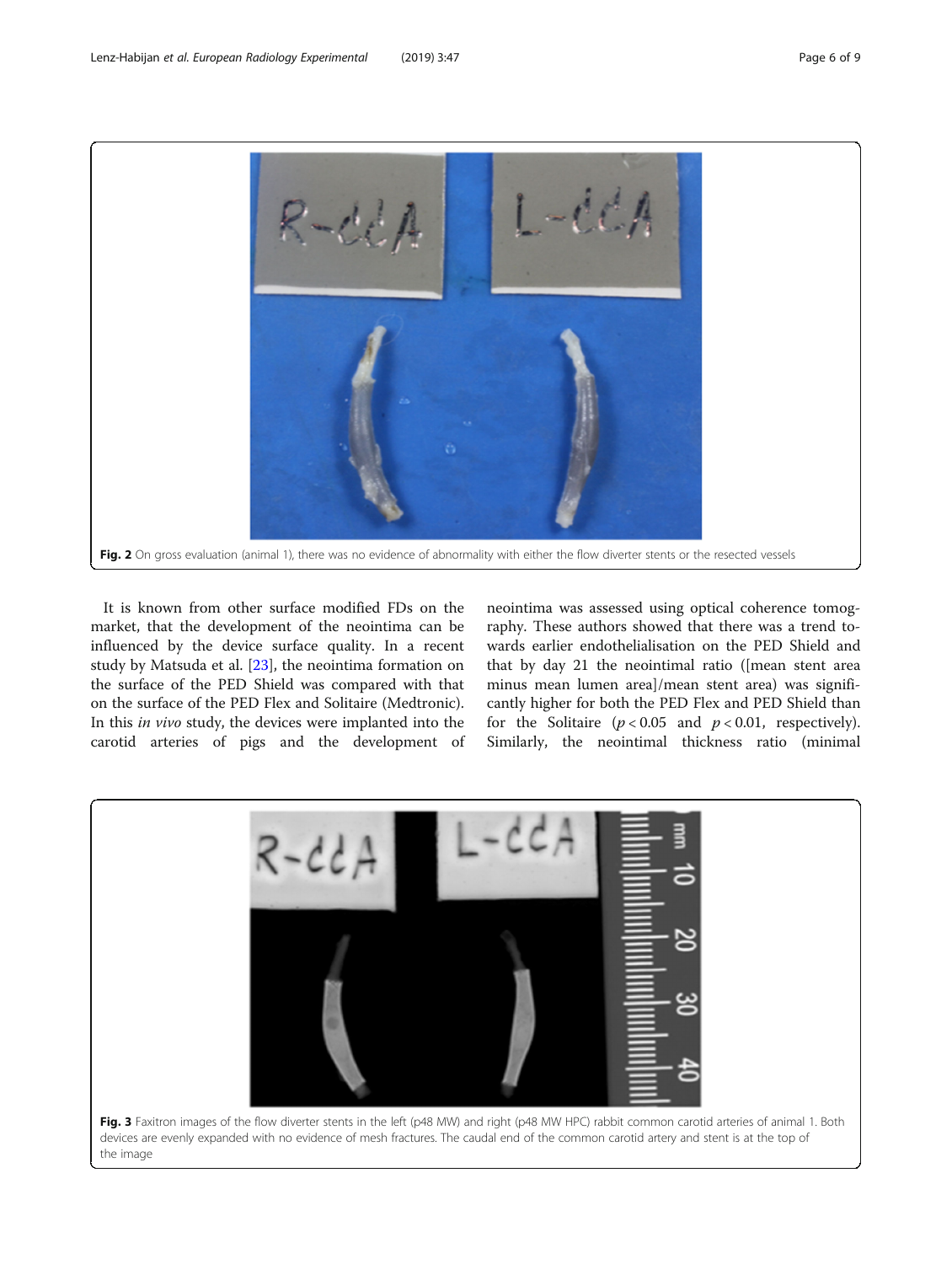<span id="page-5-0"></span>

It is known from other surface modified FDs on the market, that the development of the neointima can be influenced by the device surface quality. In a recent study by Matsuda et al. [\[23](#page-8-0)], the neointima formation on the surface of the PED Shield was compared with that on the surface of the PED Flex and Solitaire (Medtronic). In this in vivo study, the devices were implanted into the carotid arteries of pigs and the development of neointima was assessed using optical coherence tomography. These authors showed that there was a trend towards earlier endothelialisation on the PED Shield and that by day 21 the neointimal ratio ([mean stent area minus mean lumen area]/mean stent area) was significantly higher for both the PED Flex and PED Shield than for the Solitaire ( $p < 0.05$  and  $p < 0.01$ , respectively). Similarly, the neointimal thickness ratio (minimal

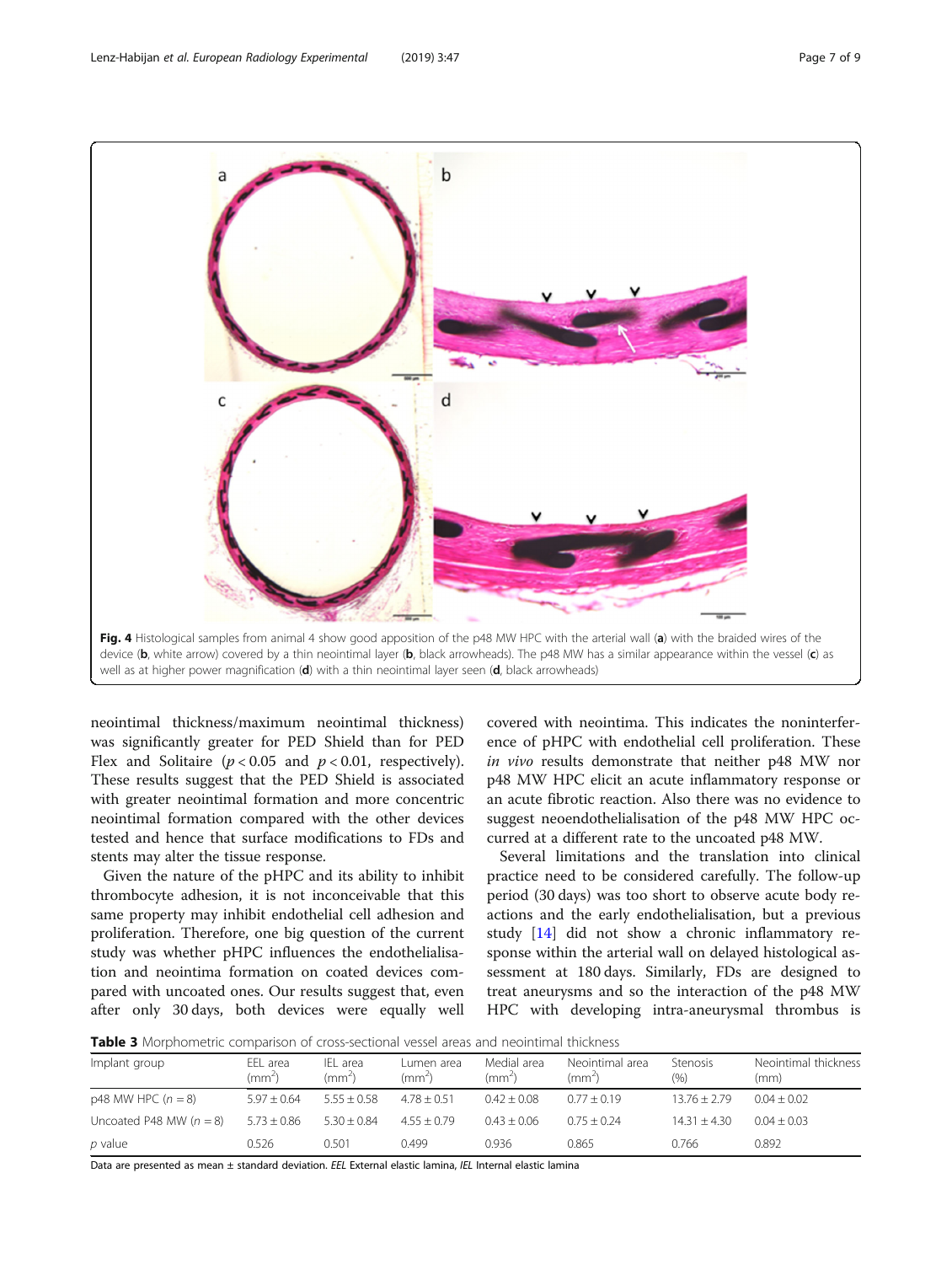<span id="page-6-0"></span>

neointimal thickness/maximum neointimal thickness) was significantly greater for PED Shield than for PED Flex and Solitaire ( $p < 0.05$  and  $p < 0.01$ , respectively). These results suggest that the PED Shield is associated with greater neointimal formation and more concentric neointimal formation compared with the other devices tested and hence that surface modifications to FDs and stents may alter the tissue response.

Given the nature of the pHPC and its ability to inhibit thrombocyte adhesion, it is not inconceivable that this same property may inhibit endothelial cell adhesion and proliferation. Therefore, one big question of the current study was whether pHPC influences the endothelialisation and neointima formation on coated devices compared with uncoated ones. Our results suggest that, even after only 30 days, both devices were equally well covered with neointima. This indicates the noninterference of pHPC with endothelial cell proliferation. These in vivo results demonstrate that neither p48 MW nor p48 MW HPC elicit an acute inflammatory response or an acute fibrotic reaction. Also there was no evidence to suggest neoendothelialisation of the p48 MW HPC occurred at a different rate to the uncoated p48 MW.

Several limitations and the translation into clinical practice need to be considered carefully. The follow-up period (30 days) was too short to observe acute body reactions and the early endothelialisation, but a previous study [[14](#page-7-0)] did not show a chronic inflammatory response within the arterial wall on delayed histological assessment at 180 days. Similarly, FDs are designed to treat aneurysms and so the interaction of the p48 MW HPC with developing intra-aneurysmal thrombus is

Table 3 Morphometric comparison of cross-sectional vessel areas and neointimal thickness

| Implant group             | EEL area<br>$\rm (mm^2)$ | IEL area<br>$\text{m} \rightarrow$ | Lumen area<br>(mm <sup>2</sup> ) | Medial area<br>(mm <sup>2</sup> ) | Neointimal area<br>$\text{m} \sim$ | Stenosis<br>$(\% )$ | Neointimal thickness<br>(mm) |
|---------------------------|--------------------------|------------------------------------|----------------------------------|-----------------------------------|------------------------------------|---------------------|------------------------------|
| $p48$ MW HPC $(n = 8)$    | $5.97 \pm 0.64$          | $5.55 + 0.58$                      | $4.78 \pm 0.51$                  | $0.42 + 0.08$                     | $0.77 + 0.19$                      | $13.76 + 2.79$      | $0.04 + 0.02$                |
| Uncoated P48 MW $(n = 8)$ | $5.73 \pm 0.86$          | $5.30 \pm 0.84$                    | $4.55 + 0.79$                    | $0.43 + 0.06$                     | $0.75 + 0.24$                      | $14.31 + 4.30$      | $0.04 + 0.03$                |
| p value                   | 0.526                    | 0.501                              | 0.499                            | 0.936                             | 0.865                              | 0.766               | 0.892                        |

Data are presented as mean ± standard deviation. EEL External elastic lamina, IEL Internal elastic lamina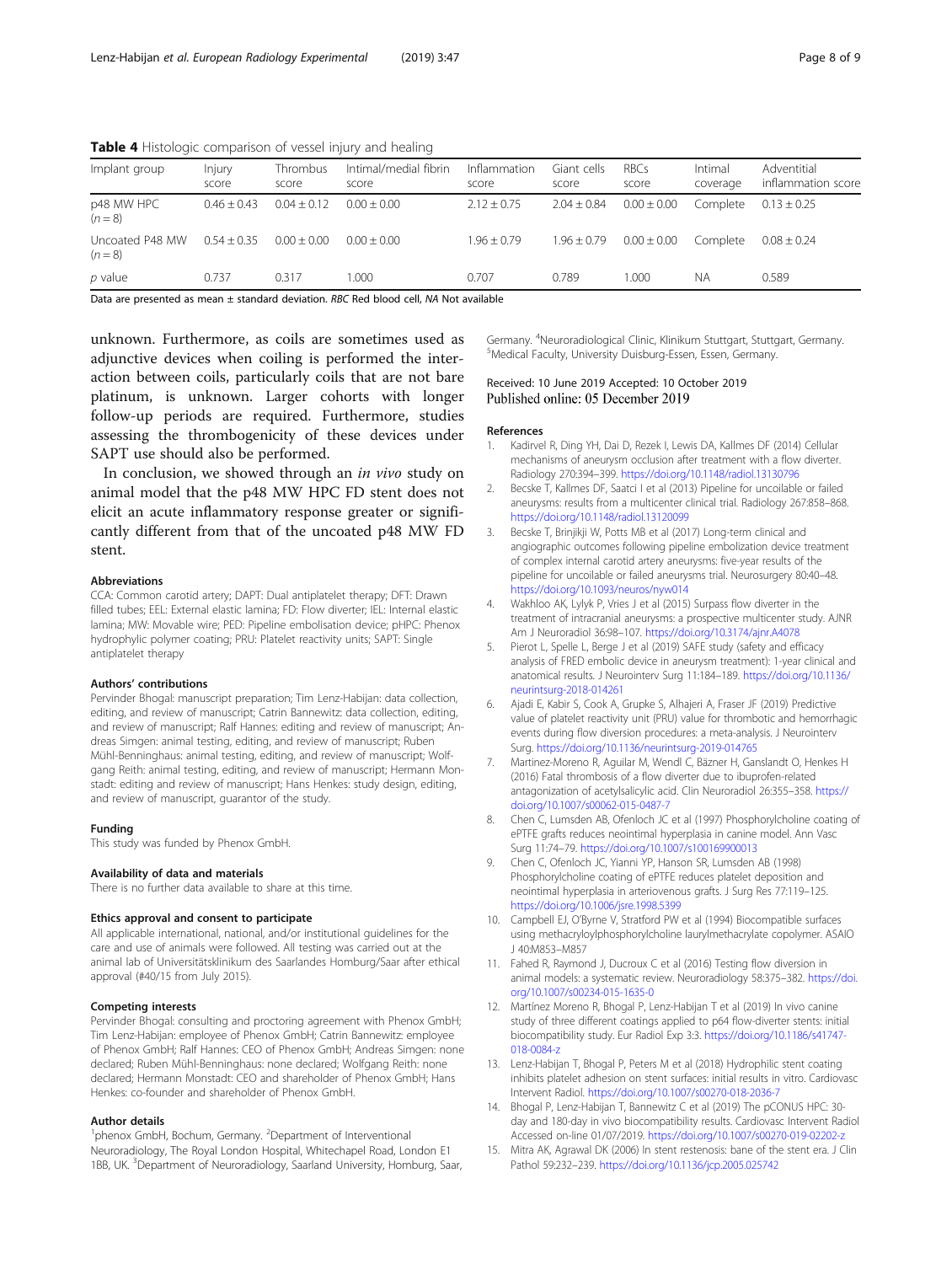<span id="page-7-0"></span>Table 4 Histologic comparison of vessel injury and healing

| Implant group                | Injury<br>score | Thrombus<br>score | Intimal/medial fibrin<br>score                                                                   | Inflammation<br>score | Giant cells<br>score | RBCs<br>score   | Intimal<br>coverage | Adventitial<br>inflammation score |
|------------------------------|-----------------|-------------------|--------------------------------------------------------------------------------------------------|-----------------------|----------------------|-----------------|---------------------|-----------------------------------|
| p48 MW HPC<br>$(n = 8)$      | $0.46 + 0.43$   | $0.04 + 0.12$     | $0.00 + 0.00$                                                                                    | $2.12 \pm 0.75$       | $2.04 \pm 0.84$      | $0.00 \pm 0.00$ | Complete            | $0.13 \pm 0.25$                   |
| Uncoated P48 MW<br>$(n = 8)$ | $0.54 \pm 0.35$ | $0.00 + 0.00$     | $0.00 + 0.00$                                                                                    | $1.96 \pm 0.79$       | $1.96 \pm 0.79$      | $0.00 \pm 0.00$ | Complete            | $0.08 \pm 0.24$                   |
| p value                      | 0.737           | 0.317             | 1.000                                                                                            | 0.707                 | 0.789                | 1.000           | ΝA                  | 0.589                             |
|                              |                 |                   | Data and procedural as provided in standard plantation. DDC Dad laboral well, MA Net accelleble. |                       |                      |                 |                     |                                   |

Data are presented as mean  $\pm$  standard deviation. RBC Red blood cell, NA Not available

unknown. Furthermore, as coils are sometimes used as adjunctive devices when coiling is performed the interaction between coils, particularly coils that are not bare platinum, is unknown. Larger cohorts with longer follow-up periods are required. Furthermore, studies assessing the thrombogenicity of these devices under SAPT use should also be performed.

In conclusion, we showed through an in vivo study on animal model that the p48 MW HPC FD stent does not elicit an acute inflammatory response greater or significantly different from that of the uncoated p48 MW FD stent.

#### Abbreviations

CCA: Common carotid artery; DAPT: Dual antiplatelet therapy; DFT: Drawn filled tubes; EEL: External elastic lamina; FD: Flow diverter; IEL: Internal elastic lamina; MW: Movable wire; PED: Pipeline embolisation device; pHPC: Phenox hydrophylic polymer coating; PRU: Platelet reactivity units; SAPT: Single antiplatelet therapy

#### Authors' contributions

Pervinder Bhogal: manuscript preparation; Tim Lenz-Habijan: data collection, editing, and review of manuscript; Catrin Bannewitz: data collection, editing, and review of manuscript; Ralf Hannes: editing and review of manuscript; Andreas Simgen: animal testing, editing, and review of manuscript; Ruben Mühl-Benninghaus: animal testing, editing, and review of manuscript; Wolfgang Reith: animal testing, editing, and review of manuscript; Hermann Monstadt: editing and review of manuscript; Hans Henkes: study design, editing, and review of manuscript, guarantor of the study.

#### Funding

This study was funded by Phenox GmbH.

#### Availability of data and materials

There is no further data available to share at this time.

#### Ethics approval and consent to participate

All applicable international, national, and/or institutional guidelines for the care and use of animals were followed. All testing was carried out at the animal lab of Universitätsklinikum des Saarlandes Homburg/Saar after ethical approval (#40/15 from July 2015).

#### Competing interests

Pervinder Bhogal: consulting and proctoring agreement with Phenox GmbH; Tim Lenz-Habijan: employee of Phenox GmbH; Catrin Bannewitz: employee of Phenox GmbH; Ralf Hannes: CEO of Phenox GmbH; Andreas Simgen: none declared; Ruben Mühl-Benninghaus: none declared; Wolfgang Reith: none declared; Hermann Monstadt: CEO and shareholder of Phenox GmbH; Hans Henkes: co-founder and shareholder of Phenox GmbH.

#### Author details

<sup>1</sup>phenox GmbH, Bochum, Germany. <sup>2</sup>Department of Interventional Neuroradiology, The Royal London Hospital, Whitechapel Road, London E1 1BB, UK.<sup>3</sup> Department of Neuroradiology, Saarland University, Homburg, Saar, Germany. <sup>4</sup>Neuroradiological Clinic, Klinikum Stuttgart, Stuttgart, Germany.<br><sup>5</sup>Medical Eaculty, University Duisburg Essen, Essen, Germany. Medical Faculty, University Duisburg-Essen, Essen, Germany.

# Received: 10 June 2019 Accepted: 10 October 2019 Published online: 05 December 2019

#### References

- 1. Kadirvel R, Ding YH, Dai D, Rezek I, Lewis DA, Kallmes DF (2014) Cellular mechanisms of aneurysm occlusion after treatment with a flow diverter. Radiology 270:394–399. <https://doi.org/10.1148/radiol.13130796>
- 2. Becske T, Kallmes DF, Saatci I et al (2013) Pipeline for uncoilable or failed aneurysms: results from a multicenter clinical trial. Radiology 267:858–868. <https://doi.org/10.1148/radiol.13120099>
- 3. Becske T, Brinjikji W, Potts MB et al (2017) Long-term clinical and angiographic outcomes following pipeline embolization device treatment of complex internal carotid artery aneurysms: five-year results of the pipeline for uncoilable or failed aneurysms trial. Neurosurgery 80:40–48. <https://doi.org/10.1093/neuros/nyw014>
- 4. Wakhloo AK, Lylyk P, Vries J et al (2015) Surpass flow diverter in the treatment of intracranial aneurysms: a prospective multicenter study. AJNR Am J Neuroradiol 36:98–107. <https://doi.org/10.3174/ajnr.A4078>
- 5. Pierot L, Spelle L, Berge J et al (2019) SAFE study (safety and efficacy analysis of FRED embolic device in aneurysm treatment): 1-year clinical and anatomical results. J Neurointerv Surg 11:184–189. [https://doi.org/10.1136/](https://doi.org/10.1136/neurintsurg-2018-014261) [neurintsurg-2018-014261](https://doi.org/10.1136/neurintsurg-2018-014261)
- 6. Ajadi E, Kabir S, Cook A, Grupke S, Alhajeri A, Fraser JF (2019) Predictive value of platelet reactivity unit (PRU) value for thrombotic and hemorrhagic events during flow diversion procedures: a meta-analysis. J Neurointerv Surg. <https://doi.org/10.1136/neurintsurg-2019-014765>
- 7. Martinez-Moreno R, Aguilar M, Wendl C, Bäzner H, Ganslandt O, Henkes H (2016) Fatal thrombosis of a flow diverter due to ibuprofen-related antagonization of acetylsalicylic acid. Clin Neuroradiol 26:355–358. [https://](https://doi.org/10.1007/s00062-015-0487-7) [doi.org/10.1007/s00062-015-0487-7](https://doi.org/10.1007/s00062-015-0487-7)
- 8. Chen C, Lumsden AB, Ofenloch JC et al (1997) Phosphorylcholine coating of ePTFE grafts reduces neointimal hyperplasia in canine model. Ann Vasc Surg 11:74–79. <https://doi.org/10.1007/s100169900013>
- 9. Chen C, Ofenloch JC, Yianni YP, Hanson SR, Lumsden AB (1998) Phosphorylcholine coating of ePTFE reduces platelet deposition and neointimal hyperplasia in arteriovenous grafts. J Surg Res 77:119–125. <https://doi.org/10.1006/jsre.1998.5399>
- 10. Campbell EJ, O'Byrne V, Stratford PW et al (1994) Biocompatible surfaces using methacryloylphosphorylcholine laurylmethacrylate copolymer. ASAIO J 40:M853–M857
- 11. Fahed R, Raymond J, Ducroux C et al (2016) Testing flow diversion in animal models: a systematic review. Neuroradiology 58:375–382. [https://doi.](https://doi.org/10.1007/s00234-015-1635-0) [org/10.1007/s00234-015-1635-0](https://doi.org/10.1007/s00234-015-1635-0)
- 12. Martínez Moreno R, Bhogal P, Lenz-Habijan T et al (2019) In vivo canine study of three different coatings applied to p64 flow-diverter stents: initial biocompatibility study. Eur Radiol Exp 3:3. [https://doi.org/10.1186/s41747-](https://doi.org/10.1186/s41747-018-0084-z) [018-0084-z](https://doi.org/10.1186/s41747-018-0084-z)
- 13. Lenz-Habijan T, Bhogal P, Peters M et al (2018) Hydrophilic stent coating inhibits platelet adhesion on stent surfaces: initial results in vitro. Cardiovasc Intervent Radiol. <https://doi.org/10.1007/s00270-018-2036-7>
- 14. Bhogal P, Lenz-Habijan T, Bannewitz C et al (2019) The pCONUS HPC: 30 day and 180-day in vivo biocompatibility results. Cardiovasc Intervent Radiol Accessed on-line 01/07/2019. <https://doi.org/10.1007/s00270-019-02202-z>
- 15. Mitra AK, Agrawal DK (2006) In stent restenosis: bane of the stent era. J Clin Pathol 59:232–239. <https://doi.org/10.1136/jcp.2005.025742>